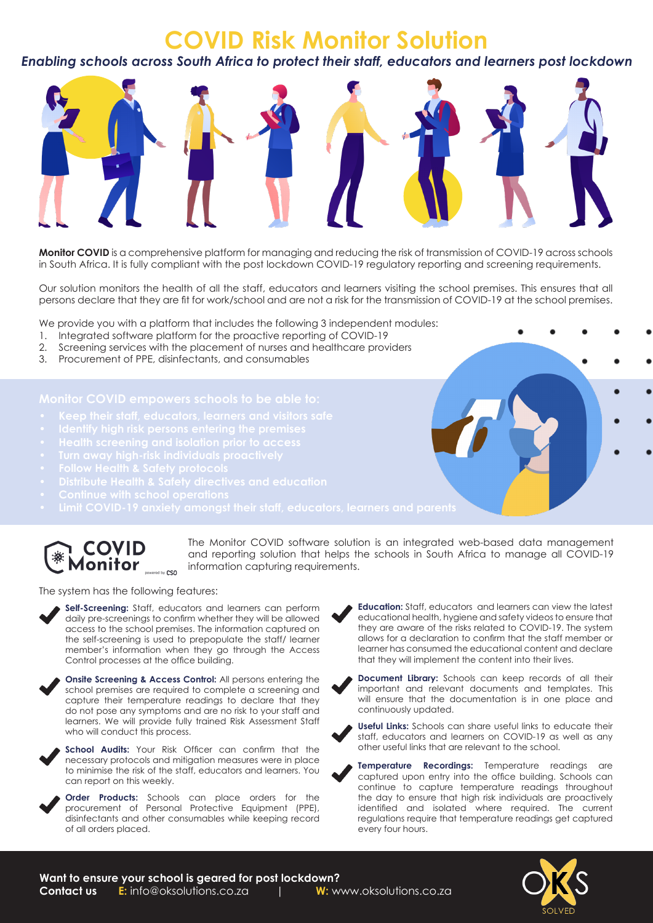## **COVID Risk Monitor Solution**

*Enabling schools across South Africa to protect their staff, educators and learners post lockdown*



**Monitor COVID** is a comprehensive platform for managing and reducing the risk of transmission of COVID-19 across schools in South Africa. It is fully compliant with the post lockdown COVID-19 regulatory reporting and screening requirements.

Our solution monitors the health of all the staff, educators and learners visiting the school premises. This ensures that all persons declare that they are fit for work/school and are not a risk for the transmission of COVID-19 at the school premises.

We provide you with a platform that includes the following 3 independent modules:

- 1. Integrated software platform for the proactive reporting of COVID-19
- 2. Screening services with the placement of nurses and healthcare providers
- 3. Procurement of PPE, disinfectants, and consumables

- **• Keep their staff, educators, learners and visitors safe**
- 
- 
- 
- 
- 
- 
- 



The Monitor COVID software solution is an integrated web-based data management and reporting solution that helps the schools in South Africa to manage all COVID-19 information capturing requirements.

The system has the following features:









**Education:** Staff, educators and learners can view the latest educational health, hygiene and safety videos to ensure that they are aware of the risks related to COVID-19. The system allows for a declaration to confirm that the staff member or learner has consumed the educational content and declare that they will implement the content into their lives.

**Document Library:** Schools can keep records of all their important and relevant documents and templates. This will ensure that the documentation is in one place and continuously updated.



**Useful Links:** Schools can share useful links to educate their staff, educators and learners on COVID-19 as well as any other useful links that are relevant to the school.

**Temperature Recordings:** Temperature readings are captured upon entry into the office building. Schools can continue to capture temperature readings throughout the day to ensure that high risk individuals are proactively identified and isolated where required. The current regulations require that temperature readings get captured every four hours.